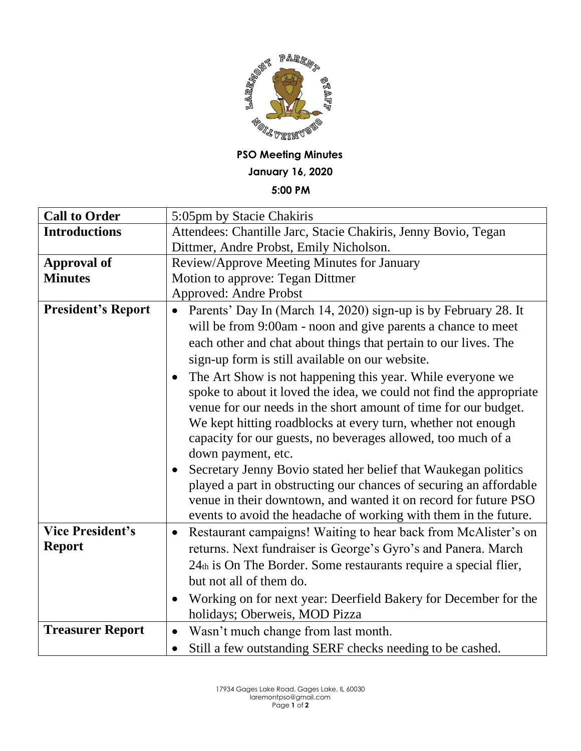

**PSO Meeting Minutes**

**January 16, 2020**

**5:00 PM**

| <b>Call to Order</b>                     | 5:05pm by Stacie Chakiris                                                                                                                                                                                                                                                                                                                                               |
|------------------------------------------|-------------------------------------------------------------------------------------------------------------------------------------------------------------------------------------------------------------------------------------------------------------------------------------------------------------------------------------------------------------------------|
| <b>Introductions</b>                     | Attendees: Chantille Jarc, Stacie Chakiris, Jenny Bovio, Tegan                                                                                                                                                                                                                                                                                                          |
|                                          | Dittmer, Andre Probst, Emily Nicholson.                                                                                                                                                                                                                                                                                                                                 |
| <b>Approval of</b>                       | Review/Approve Meeting Minutes for January                                                                                                                                                                                                                                                                                                                              |
| <b>Minutes</b>                           | Motion to approve: Tegan Dittmer                                                                                                                                                                                                                                                                                                                                        |
|                                          | <b>Approved: Andre Probst</b>                                                                                                                                                                                                                                                                                                                                           |
| <b>President's Report</b>                | Parents' Day In (March 14, 2020) sign-up is by February 28. It                                                                                                                                                                                                                                                                                                          |
|                                          | will be from 9:00am - noon and give parents a chance to meet                                                                                                                                                                                                                                                                                                            |
|                                          | each other and chat about things that pertain to our lives. The                                                                                                                                                                                                                                                                                                         |
|                                          | sign-up form is still available on our website.                                                                                                                                                                                                                                                                                                                         |
|                                          | The Art Show is not happening this year. While everyone we<br>$\bullet$<br>spoke to about it loved the idea, we could not find the appropriate<br>venue for our needs in the short amount of time for our budget.<br>We kept hitting roadblocks at every turn, whether not enough<br>capacity for our guests, no beverages allowed, too much of a<br>down payment, etc. |
|                                          | Secretary Jenny Bovio stated her belief that Waukegan politics<br>played a part in obstructing our chances of securing an affordable<br>venue in their downtown, and wanted it on record for future PSO<br>events to avoid the headache of working with them in the future.                                                                                             |
| <b>Vice President's</b><br><b>Report</b> | Restaurant campaigns! Waiting to hear back from McAlister's on<br>$\bullet$<br>returns. Next fundraiser is George's Gyro's and Panera. March<br>24th is On The Border. Some restaurants require a special flier,<br>but not all of them do.                                                                                                                             |
|                                          | Working on for next year: Deerfield Bakery for December for the<br>holidays; Oberweis, MOD Pizza                                                                                                                                                                                                                                                                        |
| <b>Treasurer Report</b>                  | Wasn't much change from last month.<br>$\bullet$                                                                                                                                                                                                                                                                                                                        |
|                                          | Still a few outstanding SERF checks needing to be cashed.<br>$\bullet$                                                                                                                                                                                                                                                                                                  |